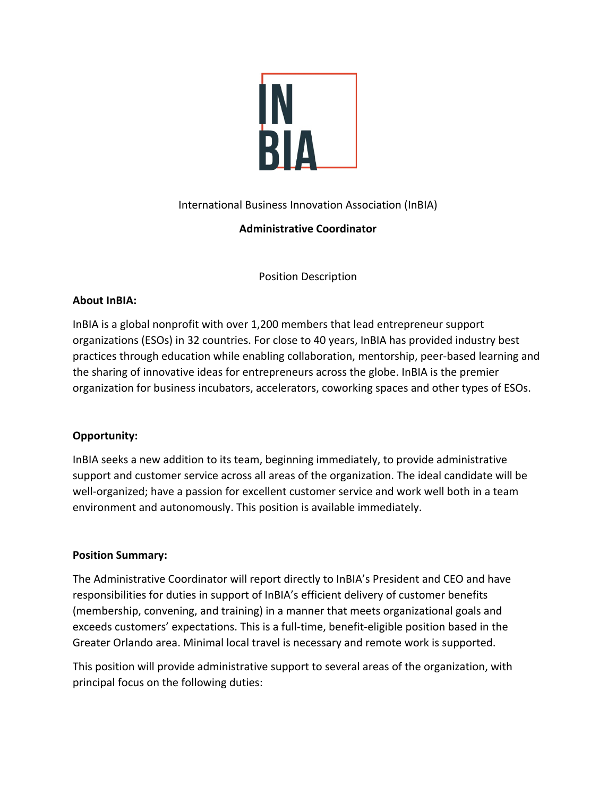

International Business Innovation Association (InBIA)

# **Administrative Coordinator**

Position Description

#### **About InBIA:**

InBIA is a global nonprofit with over 1,200 members that lead entrepreneur support organizations (ESOs) in 32 countries. For close to 40 years, InBIA has provided industry best practices through education while enabling collaboration, mentorship, peer-based learning and the sharing of innovative ideas for entrepreneurs across the globe. InBIA is the premier organization for business incubators, accelerators, coworking spaces and other types of ESOs.

### **Opportunity:**

InBIA seeks a new addition to its team, beginning immediately, to provide administrative support and customer service across all areas of the organization. The ideal candidate will be well-organized; have a passion for excellent customer service and work well both in a team environment and autonomously. This position is available immediately.

#### **Position Summary:**

The Administrative Coordinator will report directly to InBIA's President and CEO and have responsibilities for duties in support of InBIA's efficient delivery of customer benefits (membership, convening, and training) in a manner that meets organizational goals and exceeds customers' expectations. This is a full-time, benefit-eligible position based in the Greater Orlando area. Minimal local travel is necessary and remote work is supported.

This position will provide administrative support to several areas of the organization, with principal focus on the following duties: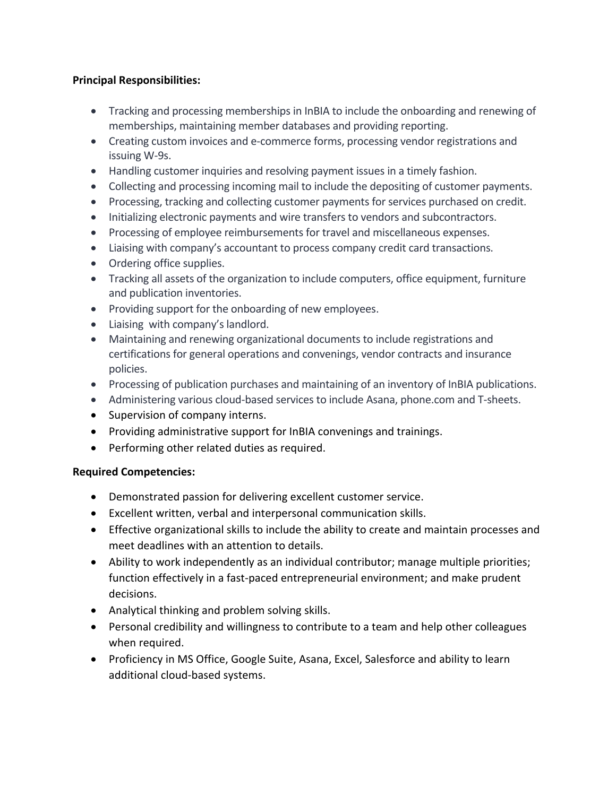## **Principal Responsibilities:**

- Tracking and processing memberships in InBIA to include the onboarding and renewing of memberships, maintaining member databases and providing reporting.
- Creating custom invoices and e-commerce forms, processing vendor registrations and issuing W-9s.
- Handling customer inquiries and resolving payment issues in a timely fashion.
- Collecting and processing incoming mail to include the depositing of customer payments.
- Processing, tracking and collecting customer payments for services purchased on credit.
- Initializing electronic payments and wire transfers to vendors and subcontractors.
- Processing of employee reimbursements for travel and miscellaneous expenses.
- Liaising with company's accountant to process company credit card transactions.
- Ordering office supplies.
- Tracking all assets of the organization to include computers, office equipment, furniture and publication inventories.
- Providing support for the onboarding of new employees.
- Liaising with company's landlord.
- Maintaining and renewing organizational documents to include registrations and certifications for general operations and convenings, vendor contracts and insurance policies.
- Processing of publication purchases and maintaining of an inventory of InBIA publications.
- Administering various cloud-based services to include Asana, phone.com and T-sheets.
- Supervision of company interns.
- Providing administrative support for InBIA convenings and trainings.
- Performing other related duties as required.

### **Required Competencies:**

- Demonstrated passion for delivering excellent customer service.
- Excellent written, verbal and interpersonal communication skills.
- Effective organizational skills to include the ability to create and maintain processes and meet deadlines with an attention to details.
- Ability to work independently as an individual contributor; manage multiple priorities; function effectively in a fast-paced entrepreneurial environment; and make prudent decisions.
- Analytical thinking and problem solving skills.
- Personal credibility and willingness to contribute to a team and help other colleagues when required.
- Proficiency in MS Office, Google Suite, Asana, Excel, Salesforce and ability to learn additional cloud-based systems.